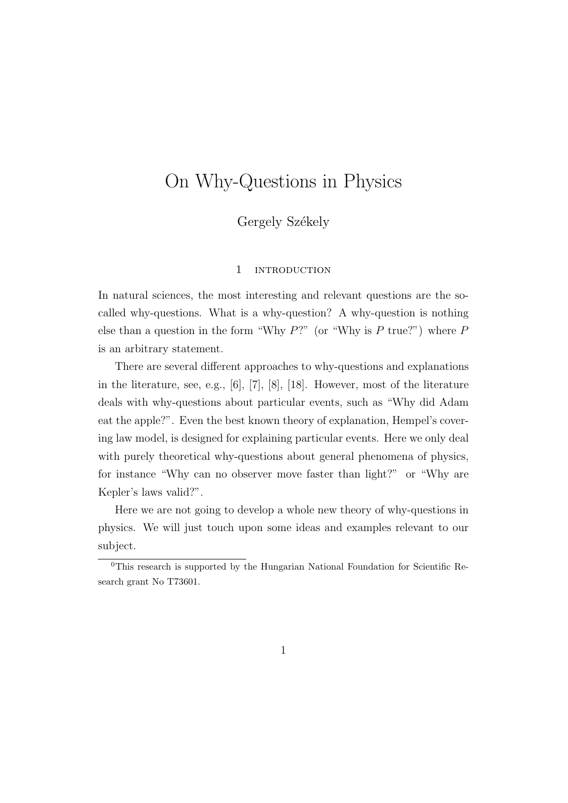# On Why-Questions in Physics

Gergely Székely

#### 1 INTRODUCTION

In natural sciences, the most interesting and relevant questions are the socalled why-questions. What is a why-question? A why-question is nothing else than a question in the form "Why  $P$ ?" (or "Why is P true?") where P is an arbitrary statement.

There are several different approaches to why-questions and explanations in the literature, see, e.g., [6], [7], [8], [18]. However, most of the literature deals with why-questions about particular events, such as "Why did Adam eat the apple?". Even the best known theory of explanation, Hempel's covering law model, is designed for explaining particular events. Here we only deal with purely theoretical why-questions about general phenomena of physics, for instance "Why can no observer move faster than light?" or "Why are Kepler's laws valid?".

Here we are not going to develop a whole new theory of why-questions in physics. We will just touch upon some ideas and examples relevant to our subject.

<sup>0</sup>This research is supported by the Hungarian National Foundation for Scientific Research grant No T73601.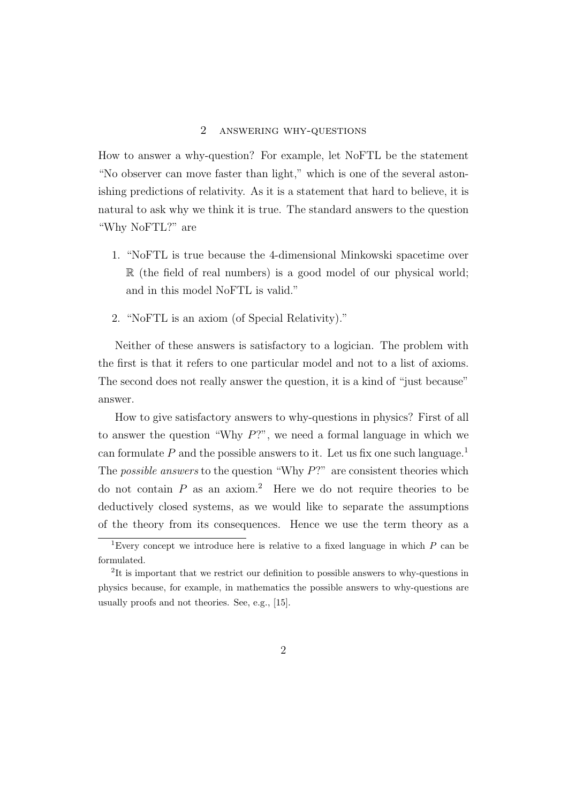#### 2 answering why-questions

How to answer a why-question? For example, let NoFTL be the statement "No observer can move faster than light," which is one of the several astonishing predictions of relativity. As it is a statement that hard to believe, it is natural to ask why we think it is true. The standard answers to the question "Why NoFTL?" are

- 1. "NoFTL is true because the 4-dimensional Minkowski spacetime over R (the field of real numbers) is a good model of our physical world; and in this model NoFTL is valid."
- 2. "NoFTL is an axiom (of Special Relativity)."

Neither of these answers is satisfactory to a logician. The problem with the first is that it refers to one particular model and not to a list of axioms. The second does not really answer the question, it is a kind of "just because" answer.

How to give satisfactory answers to why-questions in physics? First of all to answer the question "Why  $P$ ?", we need a formal language in which we can formulate  $P$  and the possible answers to it. Let us fix one such language.<sup>1</sup> The *possible answers* to the question "Why  $P$ ?" are consistent theories which do not contain  $P$  as an axiom.<sup>2</sup> Here we do not require theories to be deductively closed systems, as we would like to separate the assumptions of the theory from its consequences. Hence we use the term theory as a

<sup>&</sup>lt;sup>1</sup>Every concept we introduce here is relative to a fixed language in which  $P$  can be formulated.

<sup>&</sup>lt;sup>2</sup>It is important that we restrict our definition to possible answers to why-questions in physics because, for example, in mathematics the possible answers to why-questions are usually proofs and not theories. See, e.g., [15].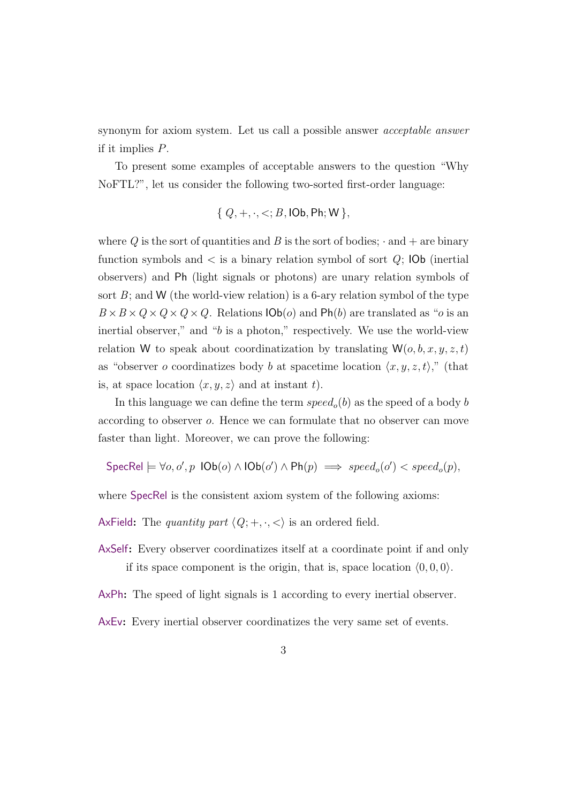synonym for axiom system. Let us call a possible answer acceptable answer if it implies P.

To present some examples of acceptable answers to the question "Why NoFTL?", let us consider the following two-sorted first-order language:

$$
{Q, +, \cdot, <; B, \text{IOb}, \text{Ph}; \text{W}}
$$

where Q is the sort of quantities and B is the sort of bodies;  $\cdot$  and  $+$  are binary function symbols and  $\lt$  is a binary relation symbol of sort  $Q$ ; IOb (inertial observers) and Ph (light signals or photons) are unary relation symbols of sort  $B$ ; and W (the world-view relation) is a 6-ary relation symbol of the type  $B \times B \times Q \times Q \times Q \times Q$ . Relations  $\mathsf{IOb}(o)$  and  $\mathsf{Ph}(b)$  are translated as "*o* is an inertial observer," and " $b$  is a photon," respectively. We use the world-view relation W to speak about coordinatization by translating  $W(o, b, x, y, z, t)$ as "observer o coordinatizes body b at spacetime location  $\langle x, y, z, t \rangle$ ," (that is, at space location  $\langle x, y, z \rangle$  and at instant t).

In this language we can define the term  $speed_o(b)$  as the speed of a body b according to observer o. Hence we can formulate that no observer can move faster than light. Moreover, we can prove the following:

 $\mathsf{SpecRel} \models \forall o, o', p \ \mathsf{IOb}(o) \land \mathsf{IOb}(o') \land \mathsf{Ph}(p) \implies \mathit{speed}_o(o') < \mathit{speed}_o(p),$ 

where SpecRel is the consistent axiom system of the following axioms:

AxField: The quantity part  $\langle Q; +, \cdot, \cdot \rangle$  is an ordered field.

AxSelf: Every observer coordinatizes itself at a coordinate point if and only if its space component is the origin, that is, space location  $(0, 0, 0)$ .

AxPh: The speed of light signals is 1 according to every inertial observer.

AxEv: Every inertial observer coordinatizes the very same set of events.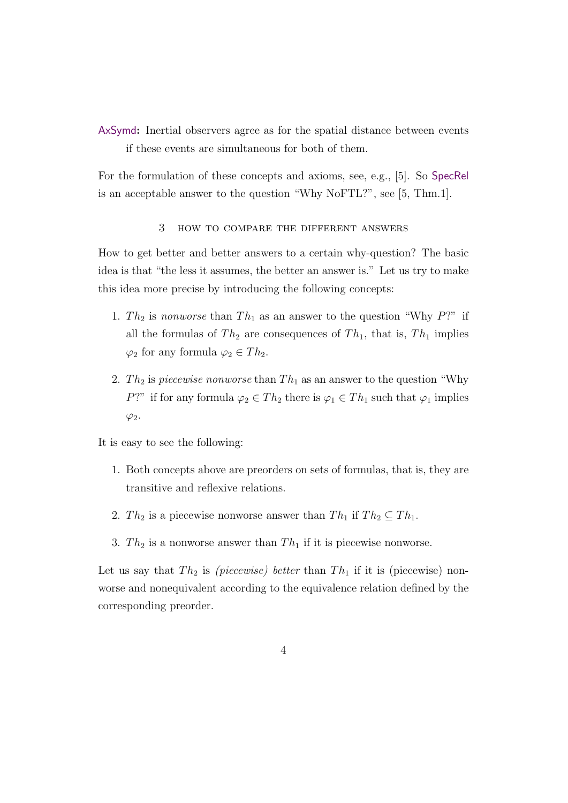AxSymd: Inertial observers agree as for the spatial distance between events if these events are simultaneous for both of them.

For the formulation of these concepts and axioms, see, e.g., [5]. So SpecRel is an acceptable answer to the question "Why NoFTL?", see [5, Thm.1].

# 3 how to compare the different answers

How to get better and better answers to a certain why-question? The basic idea is that "the less it assumes, the better an answer is." Let us try to make this idea more precise by introducing the following concepts:

- 1. Th<sub>2</sub> is nonworse than  $Th_1$  as an answer to the question "Why P?" if all the formulas of  $Th_2$  are consequences of  $Th_1$ , that is,  $Th_1$  implies  $\varphi_2$  for any formula  $\varphi_2 \in Th_2$ .
- 2. Th<sub>2</sub> is piecewise nonworse than  $Th_1$  as an answer to the question "Why" P?" if for any formula  $\varphi_2 \in Th_2$  there is  $\varphi_1 \in Th_1$  such that  $\varphi_1$  implies  $\varphi_2$ .

It is easy to see the following:

- 1. Both concepts above are preorders on sets of formulas, that is, they are transitive and reflexive relations.
- 2. Th<sub>2</sub> is a piecewise nonworse answer than  $Th_1$  if  $Th_2 \subseteq Th_1$ .
- 3.  $Th_2$  is a nonworse answer than  $Th_1$  if it is piecewise nonworse.

Let us say that  $Th_2$  is *(piecewise) better* than  $Th_1$  if it is (piecewise) nonworse and nonequivalent according to the equivalence relation defined by the corresponding preorder.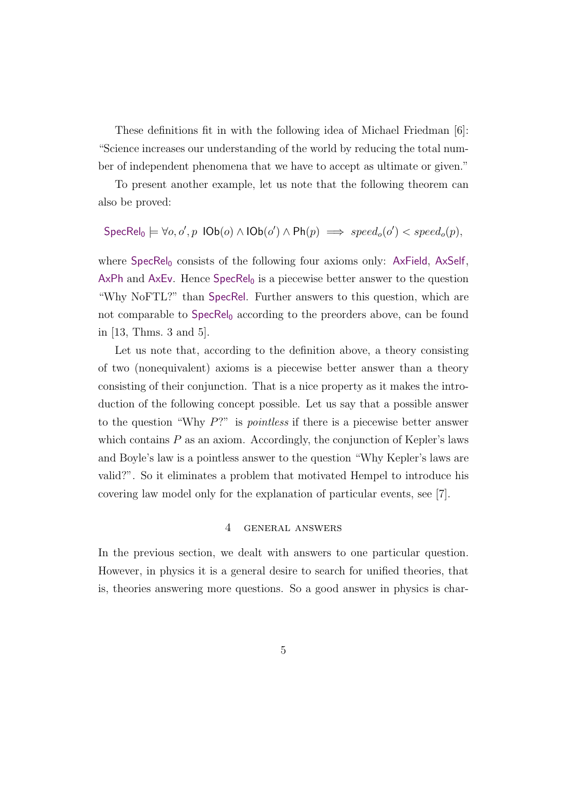These definitions fit in with the following idea of Michael Friedman [6]: "Science increases our understanding of the world by reducing the total number of independent phenomena that we have to accept as ultimate or given."

To present another example, let us note that the following theorem can also be proved:

$$
\mathsf{SpecRel}_0 \models \forall o, o', p \ \mathsf{IOb}(o) \land \mathsf{IOb}(o') \land \mathsf{Ph}(p) \implies \mathit{speed}_o(o') < \mathit{speed}_o(p),
$$

where  $SpecRel_0$  consists of the following four axioms only: AxField, AxSelf, AxPh and AxEv. Hence  $SpecRel_0$  is a piecewise better answer to the question "Why NoFTL?" than SpecRel. Further answers to this question, which are not comparable to  $\text{SpecRel}_0$  according to the preorders above, can be found in [13, Thms. 3 and 5].

Let us note that, according to the definition above, a theory consisting of two (nonequivalent) axioms is a piecewise better answer than a theory consisting of their conjunction. That is a nice property as it makes the introduction of the following concept possible. Let us say that a possible answer to the question "Why P?" is pointless if there is a piecewise better answer which contains  $P$  as an axiom. Accordingly, the conjunction of Kepler's laws and Boyle's law is a pointless answer to the question "Why Kepler's laws are valid?". So it eliminates a problem that motivated Hempel to introduce his covering law model only for the explanation of particular events, see [7].

# 4 general answers

In the previous section, we dealt with answers to one particular question. However, in physics it is a general desire to search for unified theories, that is, theories answering more questions. So a good answer in physics is char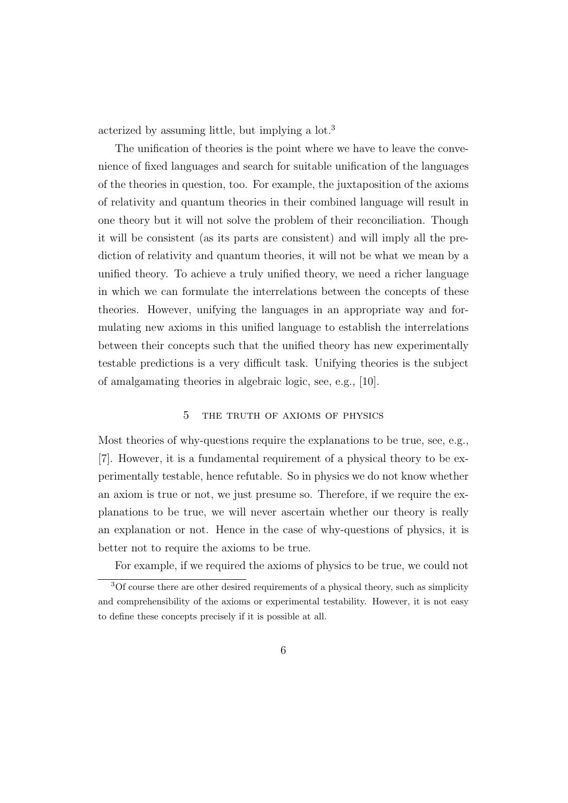acterized by assuming little, but implying a lot.<sup>3</sup>

The unification of theories is the point where we have to leave the convenience of fixed languages and search for suitable unification of the languages of the theories in question, too. For example, the juxtaposition of the axioms of relativity and quantum theories in their combined language will result in one theory but it will not solve the problem of their reconciliation. Though it will be consistent (as its parts are consistent) and will imply all the prediction of relativity and quantum theories, it will not be what we mean by a unified theory. To achieve a truly unified theory, we need a richer language in which we can formulate the interrelations between the concepts of these theories. However, unifying the languages in an appropriate way and formulating new axioms in this unified language to establish the interrelations between their concepts such that the unified theory has new experimentally testable predictions is a very difficult task. Unifying theories is the subject of amalgamating theories in algebraic logic, see, e.g., [10].

# 5 the truth of axioms of physics

Most theories of why-questions require the explanations to be true, see, e.g., [7]. However, it is a fundamental requirement of a physical theory to be experimentally testable, hence refutable. So in physics we do not know whether an axiom is true or not, we just presume so. Therefore, if we require the explanations to be true, we will never ascertain whether our theory is really an explanation or not. Hence in the case of why-questions of physics, it is better not to require the axioms to be true.

For example, if we required the axioms of physics to be true, we could not

<sup>3</sup>Of course there are other desired requirements of a physical theory, such as simplicity and comprehensibility of the axioms or experimental testability. However, it is not easy to define these concepts precisely if it is possible at all.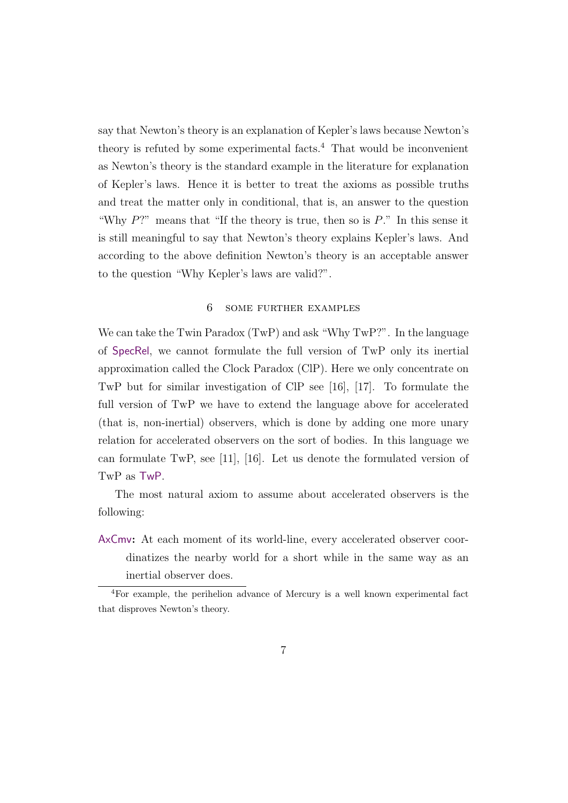say that Newton's theory is an explanation of Kepler's laws because Newton's theory is refuted by some experimental facts. $4$  That would be inconvenient as Newton's theory is the standard example in the literature for explanation of Kepler's laws. Hence it is better to treat the axioms as possible truths and treat the matter only in conditional, that is, an answer to the question "Why  $P$ ?" means that "If the theory is true, then so is  $P$ ." In this sense it is still meaningful to say that Newton's theory explains Kepler's laws. And according to the above definition Newton's theory is an acceptable answer to the question "Why Kepler's laws are valid?".

#### 6 some further examples

We can take the Twin Paradox  $(TwP)$  and ask "Why  $TwP$ ". In the language of SpecRel, we cannot formulate the full version of TwP only its inertial approximation called the Clock Paradox (ClP). Here we only concentrate on TwP but for similar investigation of ClP see [16], [17]. To formulate the full version of TwP we have to extend the language above for accelerated (that is, non-inertial) observers, which is done by adding one more unary relation for accelerated observers on the sort of bodies. In this language we can formulate TwP, see [11], [16]. Let us denote the formulated version of TwP as TwP.

The most natural axiom to assume about accelerated observers is the following:

AxCmv: At each moment of its world-line, every accelerated observer coordinatizes the nearby world for a short while in the same way as an inertial observer does.

<sup>4</sup>For example, the perihelion advance of Mercury is a well known experimental fact that disproves Newton's theory.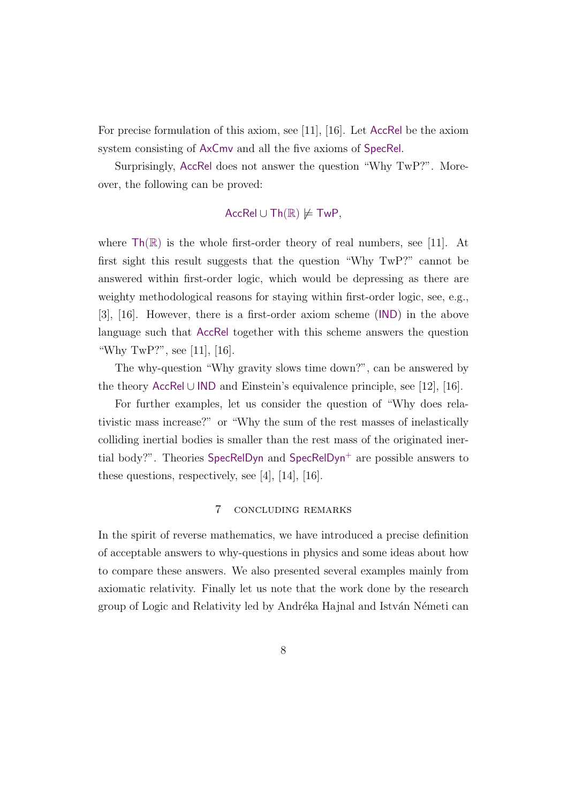For precise formulation of this axiom, see [11], [16]. Let AccRel be the axiom system consisting of AxCmv and all the five axioms of SpecRel.

Surprisingly, AccRel does not answer the question "Why TwP?". Moreover, the following can be proved:

# AccRel ∪ Th $(\mathbb{R}) \not\models$  TwP,

where  $\mathsf{Th}(\mathbb{R})$  is the whole first-order theory of real numbers, see [11]. At first sight this result suggests that the question "Why TwP?" cannot be answered within first-order logic, which would be depressing as there are weighty methodological reasons for staying within first-order logic, see, e.g., [3], [16]. However, there is a first-order axiom scheme (IND) in the above language such that AccRel together with this scheme answers the question "Why TwP?", see [11], [16].

The why-question "Why gravity slows time down?", can be answered by the theory AccRel ∪ IND and Einstein's equivalence principle, see [12], [16].

For further examples, let us consider the question of "Why does relativistic mass increase?" or "Why the sum of the rest masses of inelastically colliding inertial bodies is smaller than the rest mass of the originated inertial body?". Theories  $SpecRelDyn$  and  $SpecRelDyn^+$  are possible answers to these questions, respectively, see [4], [14], [16].

#### 7 concluding remarks

In the spirit of reverse mathematics, we have introduced a precise definition of acceptable answers to why-questions in physics and some ideas about how to compare these answers. We also presented several examples mainly from axiomatic relativity. Finally let us note that the work done by the research group of Logic and Relativity led by Andréka Hajnal and István Németi can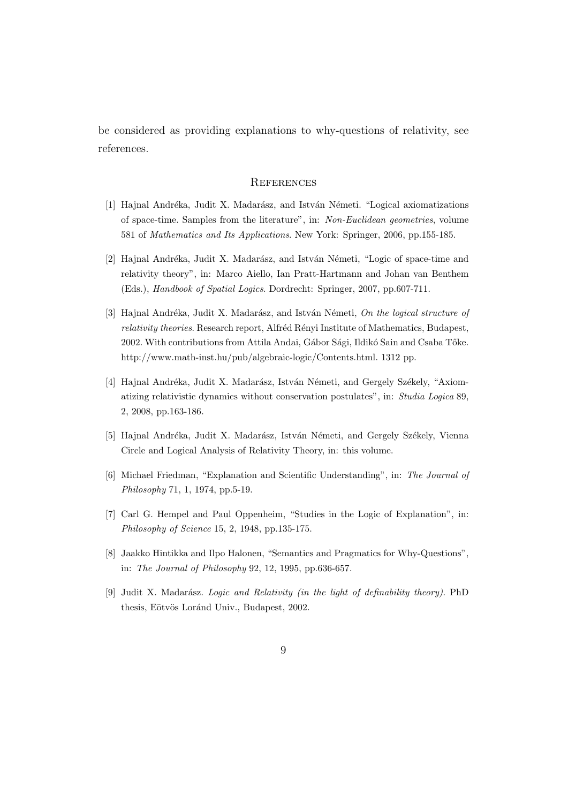be considered as providing explanations to why-questions of relativity, see references.

# **REFERENCES**

- [1] Hajnal Andréka, Judit X. Madarász, and István Németi. "Logical axiomatizations of space-time. Samples from the literature", in: Non-Euclidean geometries, volume 581 of Mathematics and Its Applications. New York: Springer, 2006, pp.155-185.
- [2] Hajnal Andréka, Judit X. Madarász, and István Németi, "Logic of space-time and relativity theory", in: Marco Aiello, Ian Pratt-Hartmann and Johan van Benthem (Eds.), Handbook of Spatial Logics. Dordrecht: Springer, 2007, pp.607-711.
- [3] Hajnal Andréka, Judit X. Madarász, and István Németi, On the logical structure of relativity theories. Research report, Alfréd Rényi Institute of Mathematics, Budapest, 2002. With contributions from Attila Andai, Gábor Sági, Ildikó Sain and Csaba Tőke. http://www.math-inst.hu/pub/algebraic-logic/Contents.html. 1312 pp.
- [4] Hajnal Andréka, Judit X. Madarász, István Németi, and Gergely Székely, "Axiomatizing relativistic dynamics without conservation postulates", in: Studia Logica 89, 2, 2008, pp.163-186.
- [5] Hajnal Andréka, Judit X. Madarász, István Németi, and Gergely Székely, Vienna Circle and Logical Analysis of Relativity Theory, in: this volume.
- [6] Michael Friedman, "Explanation and Scientific Understanding", in: The Journal of Philosophy 71, 1, 1974, pp.5-19.
- [7] Carl G. Hempel and Paul Oppenheim, "Studies in the Logic of Explanation", in: Philosophy of Science 15, 2, 1948, pp.135-175.
- [8] Jaakko Hintikka and Ilpo Halonen, "Semantics and Pragmatics for Why-Questions", in: The Journal of Philosophy 92, 12, 1995, pp.636-657.
- [9] Judit X. Madarász. Logic and Relativity (in the light of definability theory). PhD thesis, Eötvös Loránd Univ., Budapest, 2002.